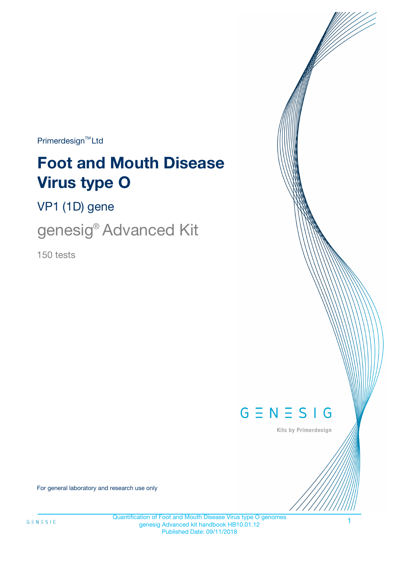$Primerdesign^{\text{TM}}Ltd$ 

# **Foot and Mouth Disease Virus type O**

VP1 (1D) gene

genesig® Advanced Kit

150 tests



Kits by Primerdesign

For general laboratory and research use only

Quantification of Foot and Mouth Disease Virus type O genomes genesig Advanced kit handbook HB10.01.12 Published Date: 09/11/2018

1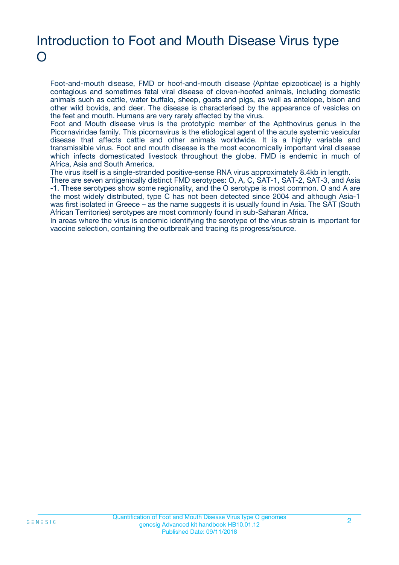### Introduction to Foot and Mouth Disease Virus type  $\bigcap$

Foot-and-mouth disease, FMD or hoof-and-mouth disease (Aphtae epizooticae) is a highly contagious and sometimes fatal viral disease of cloven-hoofed animals, including domestic animals such as cattle, water buffalo, sheep, goats and pigs, as well as antelope, bison and other wild bovids, and deer. The disease is characterised by the appearance of vesicles on the feet and mouth. Humans are very rarely affected by the virus.

Foot and Mouth disease virus is the prototypic member of the Aphthovirus genus in the Picornaviridae family. This picornavirus is the etiological agent of the acute systemic vesicular disease that affects cattle and other animals worldwide. It is a highly variable and transmissible virus. Foot and mouth disease is the most economically important viral disease which infects domesticated livestock throughout the globe. FMD is endemic in much of Africa, Asia and South America.

The virus itself is a single-stranded positive-sense RNA virus approximately 8.4kb in length.

There are seven antigenically distinct FMD serotypes: O, A, C, SAT-1, SAT-2, SAT-3, and Asia -1. These serotypes show some regionality, and the O serotype is most common. O and A are the most widely distributed, type C has not been detected since 2004 and although Asia-1 was first isolated in Greece – as the name suggests it is usually found in Asia. The SAT (South African Territories) serotypes are most commonly found in sub-Saharan Africa.

In areas where the virus is endemic identifying the serotype of the virus strain is important for vaccine selection, containing the outbreak and tracing its progress/source.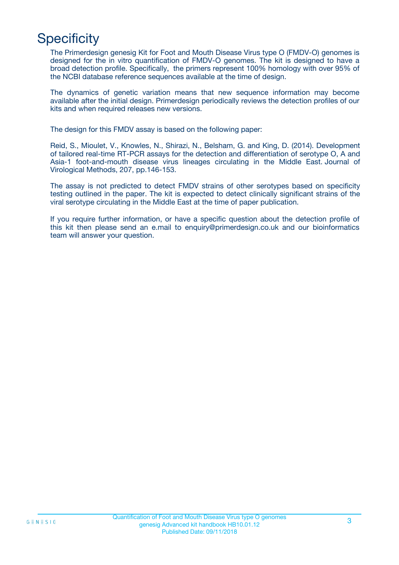# **Specificity**

The Primerdesign genesig Kit for Foot and Mouth Disease Virus type O (FMDV-O) genomes is designed for the in vitro quantification of FMDV-O genomes. The kit is designed to have a broad detection profile. Specifically, the primers represent 100% homology with over 95% of the NCBI database reference sequences available at the time of design.

The dynamics of genetic variation means that new sequence information may become available after the initial design. Primerdesign periodically reviews the detection profiles of our kits and when required releases new versions.

The design for this FMDV assay is based on the following paper:

Reid, S., Mioulet, V., Knowles, N., Shirazi, N., Belsham, G. and King, D. (2014). Development of tailored real-time RT-PCR assays for the detection and differentiation of serotype O, A and Asia-1 foot-and-mouth disease virus lineages circulating in the Middle East. Journal of Virological Methods, 207, pp.146-153.

The assay is not predicted to detect FMDV strains of other serotypes based on specificity testing outlined in the paper. The kit is expected to detect clinically significant strains of the viral serotype circulating in the Middle East at the time of paper publication.

If you require further information, or have a specific question about the detection profile of this kit then please send an e.mail to enquiry@primerdesign.co.uk and our bioinformatics team will answer your question.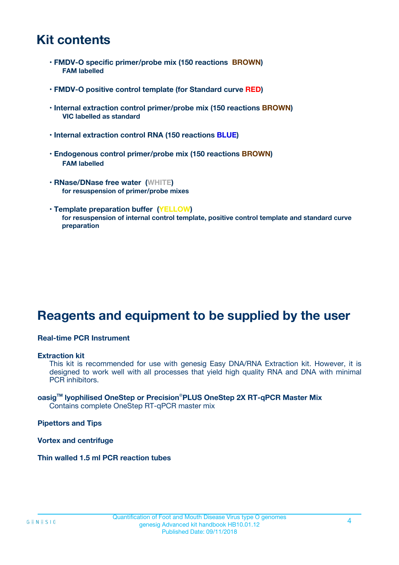### **Kit contents**

- **FMDV-O specific primer/probe mix (150 reactions BROWN) FAM labelled**
- **FMDV-O positive control template (for Standard curve RED)**
- **Internal extraction control primer/probe mix (150 reactions BROWN) VIC labelled as standard**
- **Internal extraction control RNA (150 reactions BLUE)**
- **Endogenous control primer/probe mix (150 reactions BROWN) FAM labelled**
- **RNase/DNase free water (WHITE) for resuspension of primer/probe mixes**
- **Template preparation buffer (YELLOW) for resuspension of internal control template, positive control template and standard curve preparation**

### **Reagents and equipment to be supplied by the user**

#### **Real-time PCR Instrument**

#### **Extraction kit**

This kit is recommended for use with genesig Easy DNA/RNA Extraction kit. However, it is designed to work well with all processes that yield high quality RNA and DNA with minimal PCR inhibitors.

#### **oasigTM lyophilised OneStep or Precision**®**PLUS OneStep 2X RT-qPCR Master Mix** Contains complete OneStep RT-qPCR master mix

**Pipettors and Tips**

**Vortex and centrifuge**

**Thin walled 1.5 ml PCR reaction tubes**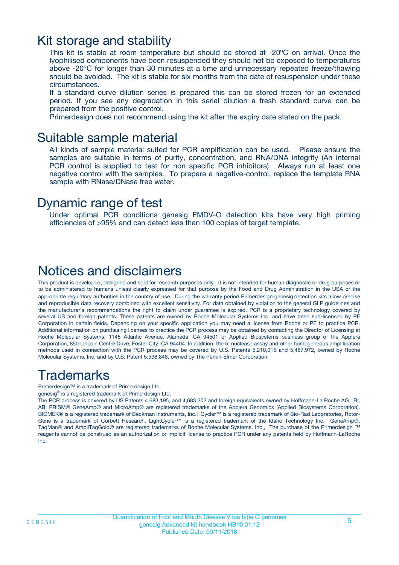### Kit storage and stability

This kit is stable at room temperature but should be stored at -20ºC on arrival. Once the lyophilised components have been resuspended they should not be exposed to temperatures above -20°C for longer than 30 minutes at a time and unnecessary repeated freeze/thawing should be avoided. The kit is stable for six months from the date of resuspension under these circumstances.

If a standard curve dilution series is prepared this can be stored frozen for an extended period. If you see any degradation in this serial dilution a fresh standard curve can be prepared from the positive control.

Primerdesign does not recommend using the kit after the expiry date stated on the pack.

### Suitable sample material

All kinds of sample material suited for PCR amplification can be used. Please ensure the samples are suitable in terms of purity, concentration, and RNA/DNA integrity (An internal PCR control is supplied to test for non specific PCR inhibitors). Always run at least one negative control with the samples. To prepare a negative-control, replace the template RNA sample with RNase/DNase free water.

### Dynamic range of test

Under optimal PCR conditions genesig FMDV-O detection kits have very high priming efficiencies of >95% and can detect less than 100 copies of target template.

### Notices and disclaimers

This product is developed, designed and sold for research purposes only. It is not intended for human diagnostic or drug purposes or to be administered to humans unless clearly expressed for that purpose by the Food and Drug Administration in the USA or the appropriate regulatory authorities in the country of use. During the warranty period Primerdesign genesig detection kits allow precise and reproducible data recovery combined with excellent sensitivity. For data obtained by violation to the general GLP guidelines and the manufacturer's recommendations the right to claim under guarantee is expired. PCR is a proprietary technology covered by several US and foreign patents. These patents are owned by Roche Molecular Systems Inc. and have been sub-licensed by PE Corporation in certain fields. Depending on your specific application you may need a license from Roche or PE to practice PCR. Additional information on purchasing licenses to practice the PCR process may be obtained by contacting the Director of Licensing at Roche Molecular Systems, 1145 Atlantic Avenue, Alameda, CA 94501 or Applied Biosystems business group of the Applera Corporation, 850 Lincoln Centre Drive, Foster City, CA 94404. In addition, the 5' nuclease assay and other homogeneous amplification methods used in connection with the PCR process may be covered by U.S. Patents 5,210,015 and 5,487,972, owned by Roche Molecular Systems, Inc, and by U.S. Patent 5,538,848, owned by The Perkin-Elmer Corporation.

### Trademarks

Primerdesign™ is a trademark of Primerdesign Ltd.

genesig® is a registered trademark of Primerdesign Ltd.

The PCR process is covered by US Patents 4,683,195, and 4,683,202 and foreign equivalents owned by Hoffmann-La Roche AG. BI, ABI PRISM® GeneAmp® and MicroAmp® are registered trademarks of the Applera Genomics (Applied Biosystems Corporation). BIOMEK® is a registered trademark of Beckman Instruments, Inc.; iCycler™ is a registered trademark of Bio-Rad Laboratories, Rotor-Gene is a trademark of Corbett Research. LightCycler™ is a registered trademark of the Idaho Technology Inc. GeneAmp®, TaqMan® and AmpliTaqGold® are registered trademarks of Roche Molecular Systems, Inc., The purchase of the Primerdesign ™ reagents cannot be construed as an authorization or implicit license to practice PCR under any patents held by Hoffmann-LaRoche Inc.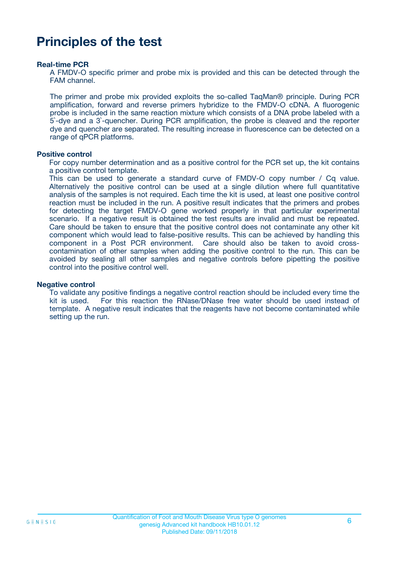### **Principles of the test**

#### **Real-time PCR**

A FMDV-O specific primer and probe mix is provided and this can be detected through the FAM channel.

The primer and probe mix provided exploits the so-called TaqMan® principle. During PCR amplification, forward and reverse primers hybridize to the FMDV-O cDNA. A fluorogenic probe is included in the same reaction mixture which consists of a DNA probe labeled with a 5`-dye and a 3`-quencher. During PCR amplification, the probe is cleaved and the reporter dye and quencher are separated. The resulting increase in fluorescence can be detected on a range of qPCR platforms.

#### **Positive control**

For copy number determination and as a positive control for the PCR set up, the kit contains a positive control template.

This can be used to generate a standard curve of FMDV-O copy number / Cq value. Alternatively the positive control can be used at a single dilution where full quantitative analysis of the samples is not required. Each time the kit is used, at least one positive control reaction must be included in the run. A positive result indicates that the primers and probes for detecting the target FMDV-O gene worked properly in that particular experimental scenario. If a negative result is obtained the test results are invalid and must be repeated. Care should be taken to ensure that the positive control does not contaminate any other kit component which would lead to false-positive results. This can be achieved by handling this component in a Post PCR environment. Care should also be taken to avoid crosscontamination of other samples when adding the positive control to the run. This can be avoided by sealing all other samples and negative controls before pipetting the positive control into the positive control well.

#### **Negative control**

To validate any positive findings a negative control reaction should be included every time the kit is used. For this reaction the RNase/DNase free water should be used instead of template. A negative result indicates that the reagents have not become contaminated while setting up the run.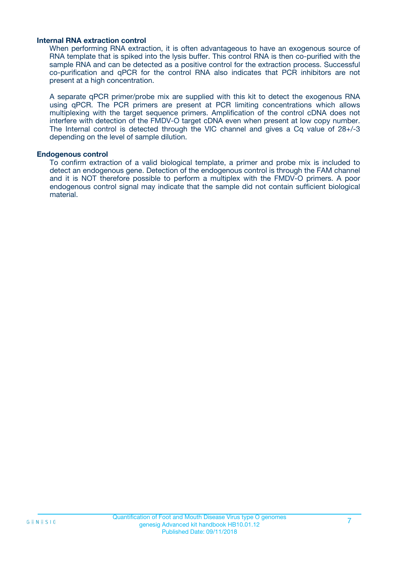#### **Internal RNA extraction control**

When performing RNA extraction, it is often advantageous to have an exogenous source of RNA template that is spiked into the lysis buffer. This control RNA is then co-purified with the sample RNA and can be detected as a positive control for the extraction process. Successful co-purification and qPCR for the control RNA also indicates that PCR inhibitors are not present at a high concentration.

A separate qPCR primer/probe mix are supplied with this kit to detect the exogenous RNA using qPCR. The PCR primers are present at PCR limiting concentrations which allows multiplexing with the target sequence primers. Amplification of the control cDNA does not interfere with detection of the FMDV-O target cDNA even when present at low copy number. The Internal control is detected through the VIC channel and gives a Cq value of 28+/-3 depending on the level of sample dilution.

#### **Endogenous control**

To confirm extraction of a valid biological template, a primer and probe mix is included to detect an endogenous gene. Detection of the endogenous control is through the FAM channel and it is NOT therefore possible to perform a multiplex with the FMDV-O primers. A poor endogenous control signal may indicate that the sample did not contain sufficient biological material.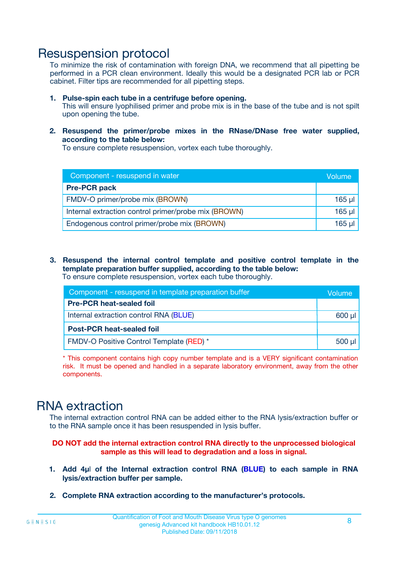### Resuspension protocol

To minimize the risk of contamination with foreign DNA, we recommend that all pipetting be performed in a PCR clean environment. Ideally this would be a designated PCR lab or PCR cabinet. Filter tips are recommended for all pipetting steps.

- **1. Pulse-spin each tube in a centrifuge before opening.** This will ensure lyophilised primer and probe mix is in the base of the tube and is not spilt upon opening the tube.
- **2. Resuspend the primer/probe mixes in the RNase/DNase free water supplied, according to the table below:**

To ensure complete resuspension, vortex each tube thoroughly.

| Component - resuspend in water                       |          |  |
|------------------------------------------------------|----------|--|
| <b>Pre-PCR pack</b>                                  |          |  |
| FMDV-O primer/probe mix (BROWN)                      | $165$ µl |  |
| Internal extraction control primer/probe mix (BROWN) | $165$ µl |  |
| Endogenous control primer/probe mix (BROWN)          | 165 µl   |  |

**3. Resuspend the internal control template and positive control template in the template preparation buffer supplied, according to the table below:** To ensure complete resuspension, vortex each tube thoroughly.

| Component - resuspend in template preparation buffer |  |  |  |
|------------------------------------------------------|--|--|--|
| <b>Pre-PCR heat-sealed foil</b>                      |  |  |  |
| Internal extraction control RNA (BLUE)               |  |  |  |
| <b>Post-PCR heat-sealed foil</b>                     |  |  |  |
| FMDV-O Positive Control Template (RED) *             |  |  |  |

\* This component contains high copy number template and is a VERY significant contamination risk. It must be opened and handled in a separate laboratory environment, away from the other components.

### RNA extraction

The internal extraction control RNA can be added either to the RNA lysis/extraction buffer or to the RNA sample once it has been resuspended in lysis buffer.

**DO NOT add the internal extraction control RNA directly to the unprocessed biological sample as this will lead to degradation and a loss in signal.**

- **1. Add 4µ**l **of the Internal extraction control RNA (BLUE) to each sample in RNA lysis/extraction buffer per sample.**
- **2. Complete RNA extraction according to the manufacturer's protocols.**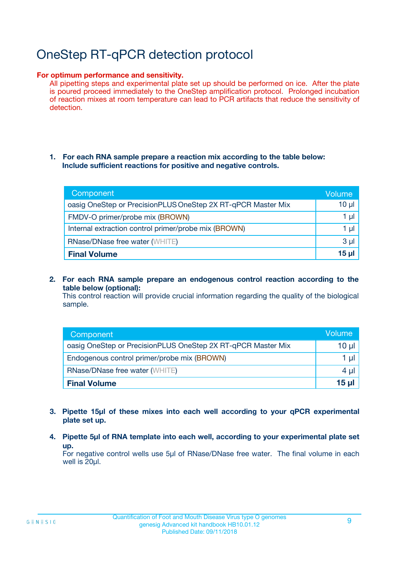# OneStep RT-qPCR detection protocol

#### **For optimum performance and sensitivity.**

All pipetting steps and experimental plate set up should be performed on ice. After the plate is poured proceed immediately to the OneStep amplification protocol. Prolonged incubation of reaction mixes at room temperature can lead to PCR artifacts that reduce the sensitivity of detection.

#### **1. For each RNA sample prepare a reaction mix according to the table below: Include sufficient reactions for positive and negative controls.**

| Component                                                    | Volume   |
|--------------------------------------------------------------|----------|
| oasig OneStep or PrecisionPLUS OneStep 2X RT-qPCR Master Mix | $10 \mu$ |
| FMDV-O primer/probe mix (BROWN)                              | 1 µl     |
| Internal extraction control primer/probe mix (BROWN)         | 1 µI     |
| <b>RNase/DNase free water (WHITE)</b>                        | $3 \mu$  |
| <b>Final Volume</b>                                          | 15 ul    |

**2. For each RNA sample prepare an endogenous control reaction according to the table below (optional):**

This control reaction will provide crucial information regarding the quality of the biological sample.

| Component                                                    | Volume          |
|--------------------------------------------------------------|-----------------|
| oasig OneStep or PrecisionPLUS OneStep 2X RT-qPCR Master Mix | 10 µl           |
| Endogenous control primer/probe mix (BROWN)                  | 1 µl            |
| <b>RNase/DNase free water (WHITE)</b>                        | $4 \mu$         |
| <b>Final Volume</b>                                          | $15$ µl $\vert$ |

- **3. Pipette 15µl of these mixes into each well according to your qPCR experimental plate set up.**
- **4. Pipette 5µl of RNA template into each well, according to your experimental plate set up.**

For negative control wells use 5µl of RNase/DNase free water. The final volume in each well is 20µl.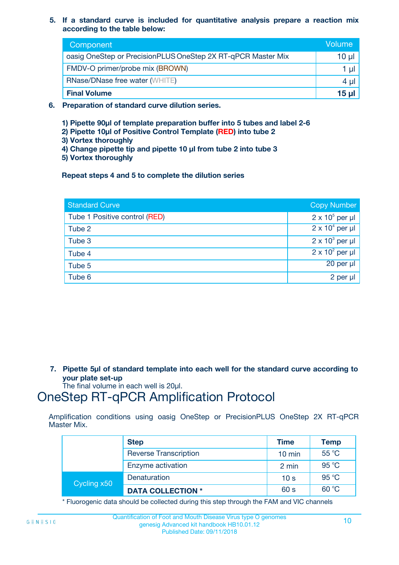**5. If a standard curve is included for quantitative analysis prepare a reaction mix according to the table below:**

| Component                                                    | Volume       |
|--------------------------------------------------------------|--------------|
| oasig OneStep or PrecisionPLUS OneStep 2X RT-qPCR Master Mix | $10 \mu$     |
| FMDV-O primer/probe mix (BROWN)                              |              |
| <b>RNase/DNase free water (WHITE)</b>                        | 4 µ          |
| <b>Final Volume</b>                                          | <u>15 µl</u> |

- **6. Preparation of standard curve dilution series.**
	- **1) Pipette 90µl of template preparation buffer into 5 tubes and label 2-6**
	- **2) Pipette 10µl of Positive Control Template (RED) into tube 2**
	- **3) Vortex thoroughly**
	- **4) Change pipette tip and pipette 10 µl from tube 2 into tube 3**
	- **5) Vortex thoroughly**

**Repeat steps 4 and 5 to complete the dilution series**

| <b>Standard Curve</b>         | <b>Copy Number</b>     |
|-------------------------------|------------------------|
| Tube 1 Positive control (RED) | $2 \times 10^5$ per µl |
| Tube 2                        | $2 \times 10^4$ per µl |
| Tube 3                        | $2 \times 10^3$ per µl |
| Tube 4                        | $2 \times 10^2$ per µl |
| Tube 5                        | 20 per µl              |
| Tube 6                        | $2$ per $\mu$          |

**7. Pipette 5µl of standard template into each well for the standard curve according to your plate set-up**

The final volume in each well is 20µl.

### OneStep RT-qPCR Amplification Protocol

Amplification conditions using oasig OneStep or PrecisionPLUS OneStep 2X RT-qPCR Master Mix.

|             | <b>Step</b>                  | <b>Time</b>      | <b>Temp</b> |
|-------------|------------------------------|------------------|-------------|
|             | <b>Reverse Transcription</b> | $10 \text{ min}$ | 55 °C       |
|             | Enzyme activation            | 2 min            | 95 °C       |
| Cycling x50 | Denaturation                 | 10 <sub>s</sub>  | 95 °C       |
|             | <b>DATA COLLECTION *</b>     | 60 s             | 60 °C       |

\* Fluorogenic data should be collected during this step through the FAM and VIC channels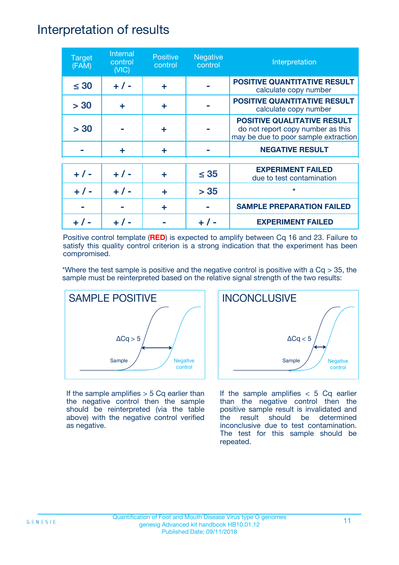### Interpretation of results

| <b>Target</b><br>(FAM) | Internal<br>control<br>(NIC) | <b>Positive</b><br>control | <b>Negative</b><br>control | Interpretation                                                                                                  |
|------------------------|------------------------------|----------------------------|----------------------------|-----------------------------------------------------------------------------------------------------------------|
| $\leq 30$              | $+ 1 -$                      | ÷                          |                            | <b>POSITIVE QUANTITATIVE RESULT</b><br>calculate copy number                                                    |
| > 30                   | ÷                            | ÷                          |                            | <b>POSITIVE QUANTITATIVE RESULT</b><br>calculate copy number                                                    |
| > 30                   |                              | ÷                          |                            | <b>POSITIVE QUALITATIVE RESULT</b><br>do not report copy number as this<br>may be due to poor sample extraction |
|                        | ÷                            | ÷                          |                            | <b>NEGATIVE RESULT</b>                                                                                          |
| $+ 1 -$                | $+ 1 -$                      | ÷                          | $\leq$ 35                  | <b>EXPERIMENT FAILED</b><br>due to test contamination                                                           |
|                        | $+$ / -                      |                            | > 35                       | $\star$                                                                                                         |
|                        |                              | ÷                          |                            | <b>SAMPLE PREPARATION FAILED</b>                                                                                |
|                        |                              |                            |                            | <b>EXPERIMENT FAILED</b>                                                                                        |

Positive control template (**RED**) is expected to amplify between Cq 16 and 23. Failure to satisfy this quality control criterion is a strong indication that the experiment has been compromised.

\*Where the test sample is positive and the negative control is positive with a  $Cq > 35$ , the sample must be reinterpreted based on the relative signal strength of the two results:



If the sample amplifies  $> 5$  Cq earlier than the negative control then the sample should be reinterpreted (via the table above) with the negative control verified as negative.



If the sample amplifies  $< 5$  Cq earlier than the negative control then the positive sample result is invalidated and the result should be determined inconclusive due to test contamination. The test for this sample should be repeated.